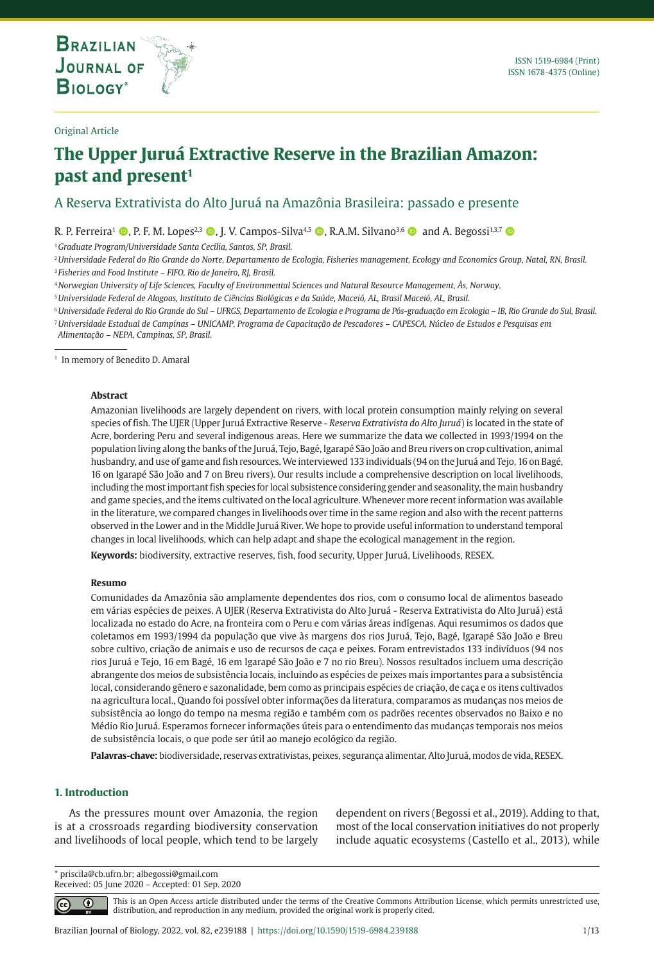

### Original Article

# **The Upper Juruá Extractive Reserve in the Brazilian Amazon:**  past and present<sup>1</sup>

# A Reserva Extrativista do Alto Juruá na Amazônia Brasileira: passado e presente

R. P. Ferreira<sup>1</sup>  $\bullet$ , P. F. M. Lopes<sup>2,3</sup>  $\bullet$ , J. V. Campos-Silva<sup>4,5</sup>  $\bullet$ , R.A.M. Silvano<sup>3,6</sup>  $\bullet$  and A. Begossi<sup>1,3,7</sup>  $\bullet$ 

<sup>1</sup>*Graduate Program/Universidade Santa Cecília, Santos, SP, Brasil.*

**THE INTERNATIONAL JOURNAL ON GLOBAL BIODIVERSITY AND ENVIRONMENT**

<sup>2</sup>*Universidade Federal do Rio Grande do Norte, Departamento de Ecologia, Fisheries management, Ecology and Economics Group, Natal, RN, Brasil.* <sup>3</sup> *Fisheries and Food Institute – FIFO, Rio de Janeiro, RJ, Brasil.*

<sup>4</sup>*Norwegian University of Life Sciences, Faculty of Environmental Sciences and Natural Resource Management, Ås, Norway.*

<sup>5</sup>*Universidade Federal de Alagoas, Instituto de Ciências Biológicas e da Saúde, Maceió, AL, Brasil Maceió, AL, Brasil.*

<sup>6</sup>*Universidade Federal do Rio Grande do Sul – UFRGS, Departamento de Ecologia e Programa de Pós-graduação em Ecologia – IB, Rio Grande do Sul, Brasil.* <sup>7</sup>*Universidade Estadual de Campinas – UNICAMP, Programa de Capacitação de Pescadores – CAPESCA, Núcleo de Estudos e Pesquisas em* 

*Alimentação – NEPA, Campinas, SP, Brasil.*

<sup>1</sup> In memory of Benedito D. Amaral

#### **Abstract**

Amazonian livelihoods are largely dependent on rivers, with local protein consumption mainly relying on several species of fish. The UJER (Upper Juruá Extractive Reserve - *Reserva Extrativista do Alto Juruá*) is located in the state of Acre, bordering Peru and several indigenous areas. Here we summarize the data we collected in 1993/1994 on the population living along the banks of the Juruá, Tejo, Bagé, Igarapé São João and Breu rivers on crop cultivation, animal husbandry, and use of game and fish resources. We interviewed 133 individuals (94 on the Juruá and Tejo, 16 on Bagé, 16 on Igarapé São João and 7 on Breu rivers). Our results include a comprehensive description on local livelihoods, including the most important fish species for local subsistence considering gender and seasonality, the main husbandry and game species, and the items cultivated on the local agriculture. Whenever more recent information was available in the literature, we compared changes in livelihoods over time in the same region and also with the recent patterns observed in the Lower and in the Middle Juruá River. We hope to provide useful information to understand temporal changes in local livelihoods, which can help adapt and shape the ecological management in the region.

**Keywords:** biodiversity, extractive reserves, fish, food security, Upper Juruá, Livelihoods, RESEX.

#### **Resumo**

Comunidades da Amazônia são amplamente dependentes dos rios, com o consumo local de alimentos baseado em várias espécies de peixes. A UJER (Reserva Extrativista do Alto Juruá - Reserva Extrativista do Alto Juruá) está localizada no estado do Acre, na fronteira com o Peru e com várias áreas indígenas. Aqui resumimos os dados que coletamos em 1993/1994 da população que vive às margens dos rios Juruá, Tejo, Bagé, Igarapé São João e Breu sobre cultivo, criação de animais e uso de recursos de caça e peixes. Foram entrevistados 133 indivíduos (94 nos rios Juruá e Tejo, 16 em Bagé, 16 em Igarapé São João e 7 no rio Breu). Nossos resultados incluem uma descrição abrangente dos meios de subsistência locais, incluindo as espécies de peixes mais importantes para a subsistência local, considerando gênero e sazonalidade, bem como as principais espécies de criação, de caça e os itens cultivados na agricultura local., Quando foi possível obter informações da literatura, comparamos as mudanças nos meios de subsistência ao longo do tempo na mesma região e também com os padrões recentes observados no Baixo e no Médio Rio Juruá. Esperamos fornecer informações úteis para o entendimento das mudanças temporais nos meios de subsistência locais, o que pode ser útil ao manejo ecológico da região.

**Palavras-chave:** biodiversidade, reservas extrativistas, peixes, segurança alimentar, Alto Juruá, modos de vida, RESEX.

# **1. Introduction**

As the pressures mount over Amazonia, the region is at a crossroads regarding biodiversity conservation and livelihoods of local people, which tend to be largely dependent on rivers (Begossi et al., 2019). Adding to that, most of the local conservation initiatives do not properly include aquatic ecosystems (Castello et al., 2013), while

\* priscila@cb.ufrn.br; albegossi@gmail.com Received: 05 June 2020 – Accepted: 01 Sep. 2020

⋒  $\left(\mathrm{cc}\right)$ 

This is an Open Access article distributed under the terms of the Creative Commons Attribution License, which permits unrestricted use, distribution, and reproduction in any medium, provided the original work is properly cited.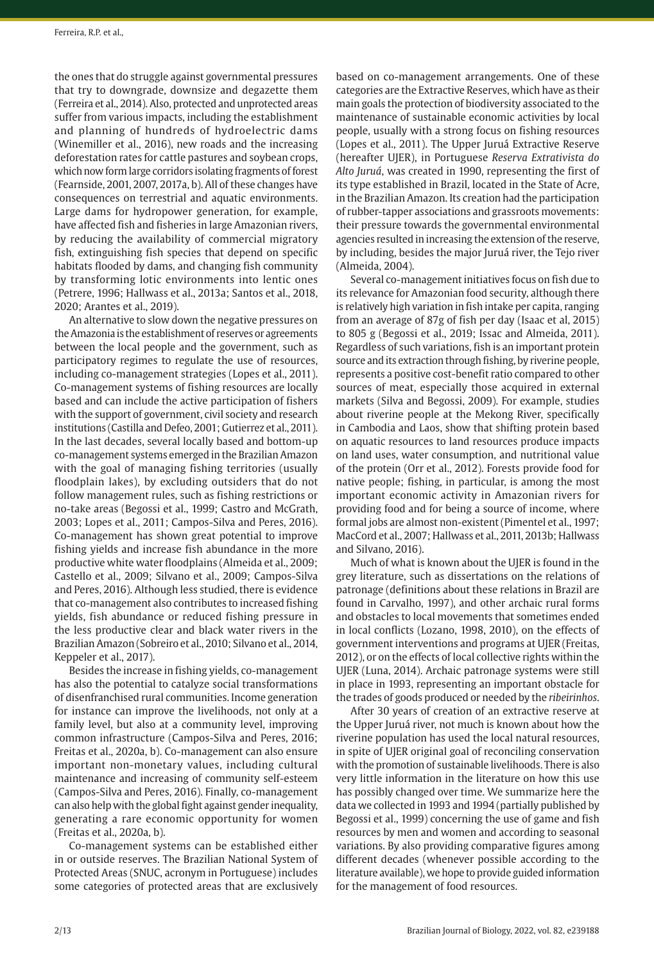the ones that do struggle against governmental pressures that try to downgrade, downsize and degazette them (Ferreira et al., 2014). Also, protected and unprotected areas suffer from various impacts, including the establishment and planning of hundreds of hydroelectric dams (Winemiller et al., 2016), new roads and the increasing deforestation rates for cattle pastures and soybean crops, which now form large corridors isolating fragments of forest (Fearnside, 2001, 2007, 2017a, b). All of these changes have consequences on terrestrial and aquatic environments. Large dams for hydropower generation, for example, have affected fish and fisheries in large Amazonian rivers, by reducing the availability of commercial migratory fish, extinguishing fish species that depend on specific habitats flooded by dams, and changing fish community by transforming lotic environments into lentic ones (Petrere, 1996; Hallwass et al., 2013a; Santos et al., 2018, 2020; Arantes et al., 2019).

An alternative to slow down the negative pressures on the Amazonia is the establishment of reserves or agreements between the local people and the government, such as participatory regimes to regulate the use of resources, including co-management strategies (Lopes et al., 2011). Co-management systems of fishing resources are locally based and can include the active participation of fishers with the support of government, civil society and research institutions (Castilla and Defeo, 2001; Gutierrez et al., 2011). In the last decades, several locally based and bottom-up co-management systems emerged in the Brazilian Amazon with the goal of managing fishing territories (usually floodplain lakes), by excluding outsiders that do not follow management rules, such as fishing restrictions or no-take areas (Begossi et al., 1999; Castro and McGrath, 2003; Lopes et al., 2011; Campos-Silva and Peres, 2016). Co-management has shown great potential to improve fishing yields and increase fish abundance in the more productive white water floodplains (Almeida et al., 2009; Castello et al., 2009; Silvano et al., 2009; Campos-Silva and Peres, 2016). Although less studied, there is evidence that co-management also contributes to increased fishing yields, fish abundance or reduced fishing pressure in the less productive clear and black water rivers in the Brazilian Amazon (Sobreiro et al., 2010; Silvano et al., 2014, Keppeler et al., 2017).

Besides the increase in fishing yields, co-management has also the potential to catalyze social transformations of disenfranchised rural communities. Income generation for instance can improve the livelihoods, not only at a family level, but also at a community level, improving common infrastructure (Campos-Silva and Peres, 2016; Freitas et al., 2020a, b). Co-management can also ensure important non-monetary values, including cultural maintenance and increasing of community self-esteem (Campos-Silva and Peres, 2016). Finally, co-management can also help with the global fight against gender inequality, generating a rare economic opportunity for women (Freitas et al., 2020a, b).

Co-management systems can be established either in or outside reserves. The Brazilian National System of Protected Areas (SNUC, acronym in Portuguese) includes some categories of protected areas that are exclusively

based on co-management arrangements. One of these categories are the Extractive Reserves, which have as their main goals the protection of biodiversity associated to the maintenance of sustainable economic activities by local people, usually with a strong focus on fishing resources (Lopes et al., 2011). The Upper Juruá Extractive Reserve (hereafter UJER), in Portuguese *Reserva Extrativista do Alto Juruá*, was created in 1990, representing the first of its type established in Brazil, located in the State of Acre, in the Brazilian Amazon. Its creation had the participation of rubber-tapper associations and grassroots movements: their pressure towards the governmental environmental agencies resulted in increasing the extension of the reserve, by including, besides the major Juruá river, the Tejo river (Almeida, 2004).

Several co-management initiatives focus on fish due to its relevance for Amazonian food security, although there is relatively high variation in fish intake per capita, ranging from an average of 87g of fish per day (Isaac et al, 2015) to 805 g (Begossi et al., 2019; Issac and Almeida, 2011). Regardless of such variations, fish is an important protein source and its extraction through fishing, by riverine people, represents a positive cost-benefit ratio compared to other sources of meat, especially those acquired in external markets (Silva and Begossi, 2009). For example, studies about riverine people at the Mekong River, specifically in Cambodia and Laos, show that shifting protein based on aquatic resources to land resources produce impacts on land uses, water consumption, and nutritional value of the protein (Orr et al., 2012). Forests provide food for native people; fishing, in particular, is among the most important economic activity in Amazonian rivers for providing food and for being a source of income, where formal jobs are almost non-existent (Pimentel et al., 1997; MacCord et al., 2007; Hallwass et al., 2011, 2013b; Hallwass and Silvano, 2016).

Much of what is known about the UJER is found in the grey literature, such as dissertations on the relations of patronage (definitions about these relations in Brazil are found in Carvalho, 1997), and other archaic rural forms and obstacles to local movements that sometimes ended in local conflicts (Lozano, 1998, 2010), on the effects of government interventions and programs at UJER (Freitas, 2012), or on the effects of local collective rights within the UJER (Luna, 2014). Archaic patronage systems were still in place in 1993, representing an important obstacle for the trades of goods produced or needed by the *ribeirinhos*.

After 30 years of creation of an extractive reserve at the Upper Juruá river, not much is known about how the riverine population has used the local natural resources, in spite of UJER original goal of reconciling conservation with the promotion of sustainable livelihoods. There is also very little information in the literature on how this use has possibly changed over time. We summarize here the data we collected in 1993 and 1994 (partially published by Begossi et al., 1999) concerning the use of game and fish resources by men and women and according to seasonal variations. By also providing comparative figures among different decades (whenever possible according to the literature available), we hope to provide guided information for the management of food resources.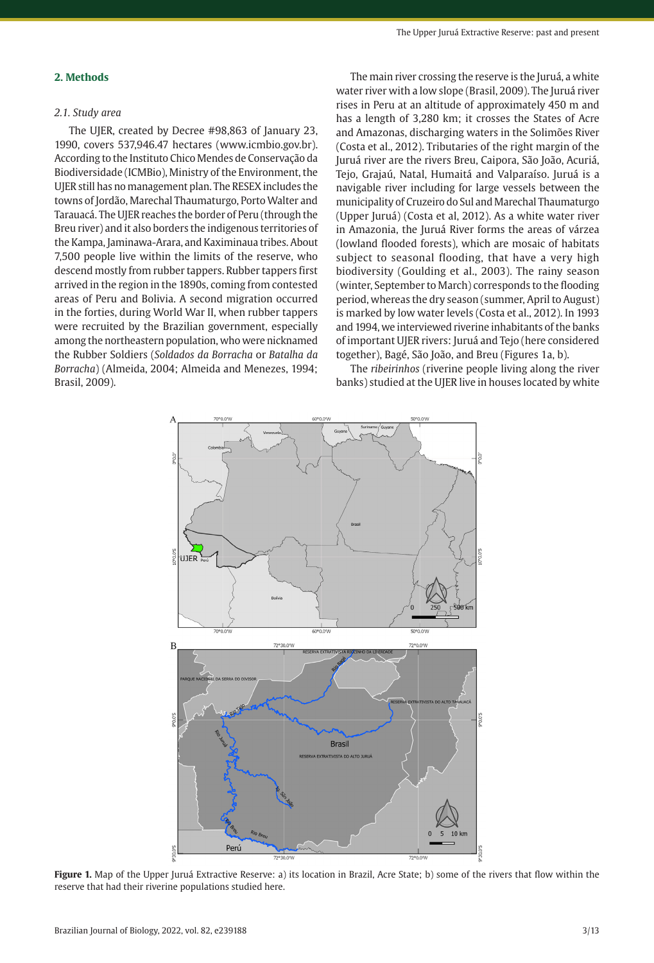### **2. Methods**

# *2.1. Study area*

The UJER, created by Decree #98,863 of January 23, 1990, covers 537,946.47 hectares (www.icmbio.gov.br). According to the Instituto Chico Mendes de Conservação da Biodiversidade (ICMBio), Ministry of the Environment, the UJER still has no management plan. The RESEX includes the towns of Jordão, Marechal Thaumaturgo, Porto Walter and Tarauacá. The UJER reaches the border of Peru (through the Breu river) and it also borders the indigenous territories of the Kampa, Jaminawa-Arara, and Kaximinaua tribes. About 7,500 people live within the limits of the reserve, who descend mostly from rubber tappers. Rubber tappers first arrived in the region in the 1890s, coming from contested areas of Peru and Bolivia. A second migration occurred in the forties, during World War II, when rubber tappers were recruited by the Brazilian government, especially among the northeastern population, who were nicknamed the Rubber Soldiers (*Soldados da Borracha* or *Batalha da Borracha*) (Almeida, 2004; Almeida and Menezes, 1994; Brasil, 2009).

The main river crossing the reserve is the Juruá, a white water river with a low slope (Brasil, 2009). The Juruá river rises in Peru at an altitude of approximately 450 m and has a length of 3,280 km; it crosses the States of Acre and Amazonas, discharging waters in the Solimões River (Costa et al., 2012). Tributaries of the right margin of the Juruá river are the rivers Breu, Caipora, São João, Acuriá, Tejo, Grajaú, Natal, Humaitá and Valparaíso. Juruá is a navigable river including for large vessels between the municipality of Cruzeiro do Sul and Marechal Thaumaturgo (Upper Juruá) (Costa et al, 2012). As a white water river in Amazonia, the Juruá River forms the areas of várzea (lowland flooded forests), which are mosaic of habitats subject to seasonal flooding, that have a very high biodiversity (Goulding et al., 2003). The rainy season (winter, September to March) corresponds to the flooding period, whereas the dry season (summer, April to August) is marked by low water levels (Costa et al., 2012). In 1993 and 1994, we interviewed riverine inhabitants of the banks of important UJER rivers: Juruá and Tejo (here considered together), Bagé, São João, and Breu (Figures 1a, b).

The *ribeirinhos* (riverine people living along the river banks) studied at the UJER live in houses located by white



**Figure 1.** Map of the Upper Juruá Extractive Reserve: a) its location in Brazil, Acre State; b) some of the rivers that flow within the reserve that had their riverine populations studied here.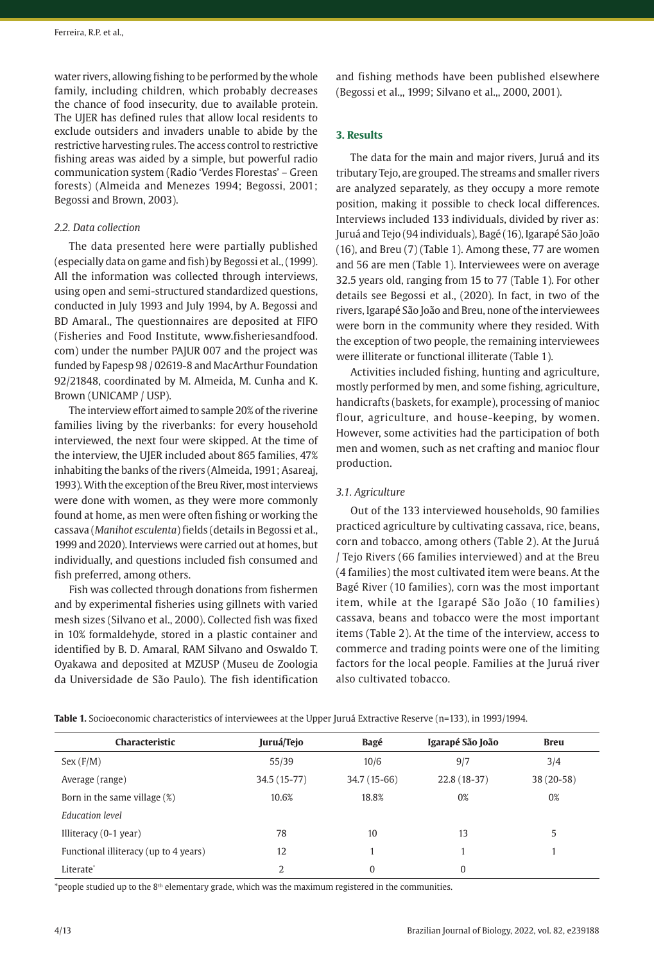water rivers, allowing fishing to be performed by the whole family, including children, which probably decreases the chance of food insecurity, due to available protein. The UJER has defined rules that allow local residents to exclude outsiders and invaders unable to abide by the restrictive harvesting rules. The access control to restrictive fishing areas was aided by a simple, but powerful radio communication system (Radio 'Verdes Florestas' – Green forests) (Almeida and Menezes 1994; Begossi, 2001; Begossi and Brown, 2003).

### *2.2. Data collection*

The data presented here were partially published (especially data on game and fish) by Begossi et al.,(1999). All the information was collected through interviews, using open and semi-structured standardized questions, conducted in July 1993 and July 1994, by A. Begossi and BD Amaral., The questionnaires are deposited at FIFO (Fisheries and Food Institute, www.fisheriesandfood. com) under the number PAJUR 007 and the project was funded by Fapesp 98 / 02619-8 and MacArthur Foundation 92/21848, coordinated by M. Almeida, M. Cunha and K. Brown (UNICAMP / USP).

The interview effort aimed to sample 20% of the riverine families living by the riverbanks: for every household interviewed, the next four were skipped. At the time of the interview, the UJER included about 865 families, 47% inhabiting the banks of the rivers (Almeida, 1991; Asareaj, 1993). With the exception of the Breu River, most interviews were done with women, as they were more commonly found at home, as men were often fishing or working the cassava (*Manihot esculenta*) fields (details in Begossi et al., 1999 and 2020). Interviews were carried out at homes, but individually, and questions included fish consumed and fish preferred, among others.

Fish was collected through donations from fishermen and by experimental fisheries using gillnets with varied mesh sizes (Silvano et al., 2000). Collected fish was fixed in 10% formaldehyde, stored in a plastic container and identified by B. D. Amaral, RAM Silvano and Oswaldo T. Oyakawa and deposited at MZUSP (Museu de Zoologia da Universidade de São Paulo). The fish identification and fishing methods have been published elsewhere (Begossi et al.,, 1999; Silvano et al.,, 2000, 2001).

### **3. Results**

The data for the main and major rivers, Juruá and its tributary Tejo, are grouped. The streams and smaller rivers are analyzed separately, as they occupy a more remote position, making it possible to check local differences. Interviews included 133 individuals, divided by river as: Juruá and Tejo (94 individuals), Bagé (16), Igarapé São João (16), and Breu (7) (Table 1). Among these, 77 are women and 56 are men (Table 1). Interviewees were on average 32.5 years old, ranging from 15 to 77 (Table 1). For other details see Begossi et al., (2020). In fact, in two of the rivers, Igarapé São João and Breu, none of the interviewees were born in the community where they resided. With the exception of two people, the remaining interviewees were illiterate or functional illiterate (Table 1).

Activities included fishing, hunting and agriculture, mostly performed by men, and some fishing, agriculture, handicrafts (baskets, for example), processing of manioc flour, agriculture, and house-keeping, by women. However, some activities had the participation of both men and women, such as net crafting and manioc flour production.

### *3.1. Agriculture*

Out of the 133 interviewed households, 90 families practiced agriculture by cultivating cassava, rice, beans, corn and tobacco, among others (Table 2). At the Juruá / Tejo Rivers (66 families interviewed) and at the Breu (4 families) the most cultivated item were beans. At the Bagé River (10 families), corn was the most important item, while at the Igarapé São João (10 families) cassava, beans and tobacco were the most important items (Table 2). At the time of the interview, access to commerce and trading points were one of the limiting factors for the local people. Families at the Juruá river also cultivated tobacco.

**Table 1.** Socioeconomic characteristics of interviewees at the Upper Juruá Extractive Reserve (n=133), in 1993/1994.

| Characteristic                        | Juruá/Tejo   | Bagé         | Igarapé São João | <b>Breu</b> |
|---------------------------------------|--------------|--------------|------------------|-------------|
| Sex(F/M)                              | 55/39        | 10/6         | 9/7              | 3/4         |
| Average (range)                       | 34.5 (15-77) | 34.7 (15-66) | 22.8 (18-37)     | 38 (20-58)  |
| Born in the same village $(\%)$       | 10.6%        | 18.8%        | 0%               | 0%          |
| Education level                       |              |              |                  |             |
| Illiteracy $(0-1$ year)               | 78           | 10           | 13               | 5           |
| Functional illiteracy (up to 4 years) | 12           |              |                  |             |
| Literate <sup>®</sup>                 | 2            | $\Omega$     | 0                |             |

\*people studied up to the 8<sup>th</sup> elementary grade, which was the maximum registered in the communities.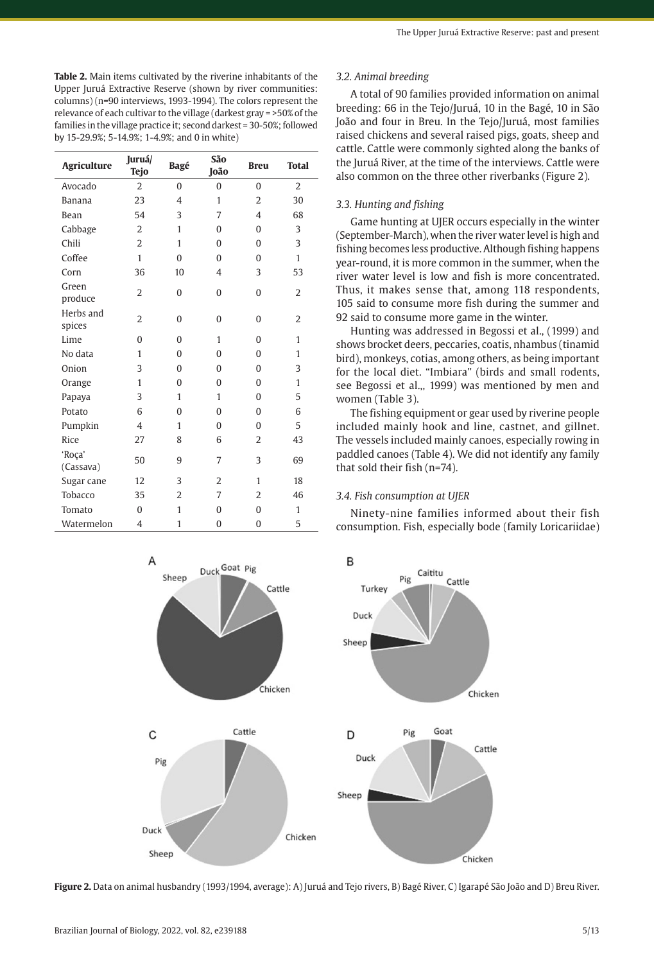**Table 2.** Main items cultivated by the riverine inhabitants of the Upper Juruá Extractive Reserve (shown by river communities: columns) (n=90 interviews, 1993-1994). The colors represent the relevance of each cultivar to the village (darkest gray = >50% of the families in the village practice it; second darkest = 30-50%; followed by 15-29.9%; 5-14.9%; 1-4.9%; and 0 in white)

| <b>Agriculture</b>  | Juruá/<br><b>Tejo</b> | Bagé           | São<br>João    | <b>Breu</b>    | <b>Total</b>   |
|---------------------|-----------------------|----------------|----------------|----------------|----------------|
| Avocado             | $\overline{2}$        | $\theta$       | $\overline{0}$ | $\theta$       | $\overline{2}$ |
| <b>Banana</b>       | 23                    | 4              | $\mathbf{1}$   | $\overline{2}$ | 30             |
| Bean                | 54                    | 3              | 7              | 4              | 68             |
| Cabbage             | $\overline{2}$        | 1              | 0              | $\Omega$       | 3              |
| Chili               | $\overline{2}$        | 1              | $\overline{0}$ | $\theta$       | 3              |
| Coffee              | $\mathbf{1}$          | $\theta$       | 0              | $\Omega$       | $\mathbf{1}$   |
| Corn                | 36                    | 10             | $\overline{4}$ | 3              | 53             |
| Green<br>produce    | $\overline{2}$        | 0              | 0              | $\mathbf{0}$   | $\overline{2}$ |
| Herbs and<br>spices | $\overline{2}$        | $\theta$       | 0              | $\mathbf{0}$   | $\overline{2}$ |
| Lime                | $\Omega$              | $\theta$       | $\mathbf{1}$   | $\Omega$       | 1              |
| No data             | $\mathbf{1}$          | $\theta$       | $\overline{0}$ | $\Omega$       | 1              |
| Onion               | 3                     | $\theta$       | 0              | $\Omega$       | 3              |
| Orange              | $\mathbf{1}$          | $\theta$       | $\overline{0}$ | $\overline{0}$ | $\mathbf{1}$   |
| Papaya              | 3                     | 1              | $\mathbf{1}$   | $\Omega$       | 5              |
| Potato              | 6                     | $\theta$       | 0              | $\Omega$       | 6              |
| Pumpkin             | $\overline{4}$        | 1              | $\overline{0}$ | $\mathbf{0}$   | 5              |
| Rice                | 27                    | 8              | 6              | $\overline{2}$ | 43             |
| 'Roça'<br>(Cassava) | 50                    | 9              | 7              | 3              | 69             |
| Sugar cane          | 12                    | 3              | $\overline{2}$ | 1              | 18             |
| Tobacco             | 35                    | $\overline{2}$ | 7              | $\overline{2}$ | 46             |
| Tomato              | $\theta$              | 1              | $\overline{0}$ | $\Omega$       | $\mathbf{1}$   |
| Watermelon          | $\overline{4}$        | $\mathbf{1}$   | $\overline{0}$ | $\overline{0}$ | 5              |

A Duck Goat Pig Sheep Cattle Chicken Cattle  $\mathsf{C}$ Pig Duck

### *3.2. Animal breeding*

A total of 90 families provided information on animal breeding: 66 in the Tejo/Juruá, 10 in the Bagé, 10 in São João and four in Breu. In the Tejo/Juruá, most families raised chickens and several raised pigs, goats, sheep and cattle. Cattle were commonly sighted along the banks of the Juruá River, at the time of the interviews. Cattle were also common on the three other riverbanks (Figure 2).

# *3.3. Hunting and fishing*

Game hunting at UJER occurs especially in the winter (September-March), when the river water level is high and fishing becomes less productive. Although fishing happens year-round, it is more common in the summer, when the river water level is low and fish is more concentrated. Thus, it makes sense that, among 118 respondents, 105 said to consume more fish during the summer and 92 said to consume more game in the winter.

Hunting was addressed in Begossi et al., (1999) and shows brocket deers, peccaries, coatis, nhambus (tinamid bird), monkeys, cotias, among others, as being important for the local diet. "Imbiara" (birds and small rodents, see Begossi et al.,, 1999) was mentioned by men and women (Table 3).

The fishing equipment or gear used by riverine people included mainly hook and line, castnet, and gillnet. The vessels included mainly canoes, especially rowing in paddled canoes (Table 4). We did not identify any family that sold their fish (n=74).

#### *3.4. Fish consumption at UJER*

Ninety-nine families informed about their fish consumption. Fish, especially bode (family Loricariidae)



**Figure 2.** Data on animal husbandry (1993/1994, average): A) Juruá and Tejo rivers, B) Bagé River, C) Igarapé São João and D) Breu River.

Sheep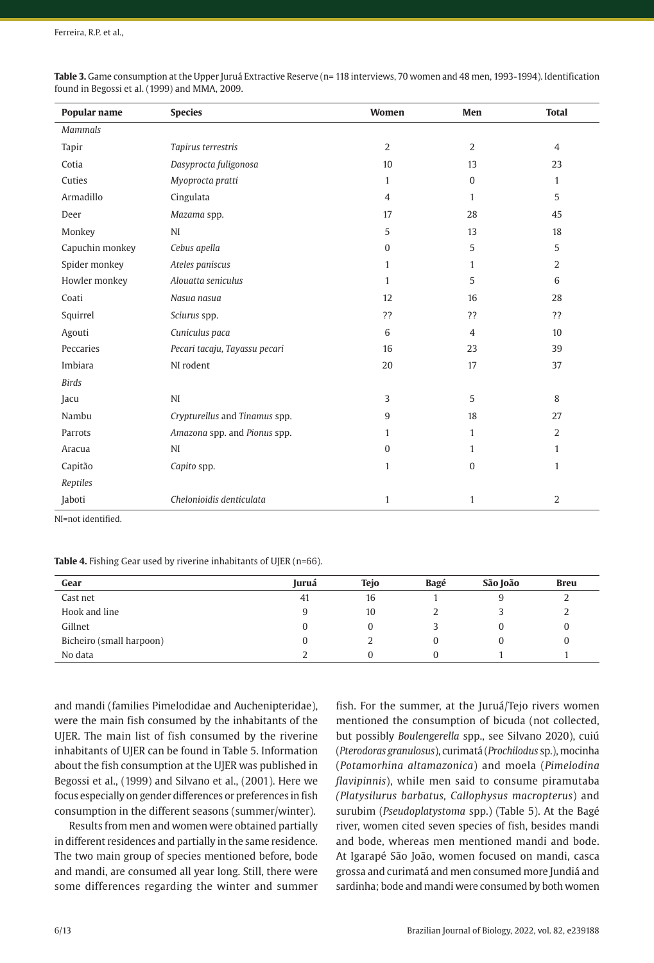| Popular name    | <b>Species</b>                | Women          | Men            | <b>Total</b>   |
|-----------------|-------------------------------|----------------|----------------|----------------|
| <b>Mammals</b>  |                               |                |                |                |
| Tapir           | Tapirus terrestris            | 2              | $\overline{2}$ | $\overline{4}$ |
| Cotia           | Dasyprocta fuligonosa         | 10             | 13             | 23             |
| Cuties          | Myoprocta pratti              | $\mathbf{1}$   | $\mathbf{0}$   | $\mathbf{1}$   |
| Armadillo       | Cingulata                     | $\overline{4}$ | $\mathbf{1}$   | 5              |
| Deer            | Mazama spp.                   | 17             | 28             | 45             |
| Monkey          | NI                            | 5              | 13             | 18             |
| Capuchin monkey | Cebus apella                  | $\mathbf{0}$   | 5              | 5              |
| Spider monkey   | Ateles paniscus               | 1              | $\mathbf{1}$   | $\overline{2}$ |
| Howler monkey   | Alouatta seniculus            | 1              | 5              | 6              |
| Coati           | Nasua nasua                   | 12             | 16             | 28             |
| Squirrel        | Sciurus spp.                  | ??             | ??             | ??             |
| Agouti          | Cuniculus paca                | 6              | $\overline{4}$ | 10             |
| Peccaries       | Pecari tacaju, Tayassu pecari | 16             | 23             | 39             |
| <b>Imbiara</b>  | NI rodent                     | 20             | 17             | 37             |
| <b>Birds</b>    |                               |                |                |                |
| Jacu            | NI                            | 3              | 5              | 8              |
| Nambu           | Crypturellus and Tinamus spp. | 9              | 18             | 27             |
| Parrots         | Amazona spp. and Pionus spp.  | 1              | $\mathbf{1}$   | 2              |
| Aracua          | NI                            | $\Omega$       | $\mathbf{1}$   | $\mathbf{1}$   |
| Capitão         | Capito spp.                   | $\mathbf{1}$   | $\mathbf{0}$   | $\mathbf{1}$   |
| Reptiles        |                               |                |                |                |
| Jaboti          | Chelonioidis denticulata      | $\mathbf{1}$   | $\mathbf{1}$   | 2              |

**Table 3.** Game consumption at the Upper Juruá Extractive Reserve (n= 118 interviews, 70 women and 48 men, 1993-1994). Identification found in Begossi et al. (1999) and MMA, 2009.

NI=not identified.

Table 4. Fishing Gear used by riverine inhabitants of UJER (n=66).

| Gear                     | Juruá | <b>Tejo</b> | Bagé | São João | <b>Breu</b> |
|--------------------------|-------|-------------|------|----------|-------------|
| Cast net                 | 41    | 16          |      |          | ∼           |
| Hook and line            | 9     | 10          |      |          |             |
| Gillnet                  |       |             |      |          | 0           |
| Bicheiro (small harpoon) |       |             | 0    |          | 0           |
| No data                  |       |             | O    |          |             |

and mandi (families Pimelodidae and Auchenipteridae), were the main fish consumed by the inhabitants of the UJER. The main list of fish consumed by the riverine inhabitants of UJER can be found in Table 5. Information about the fish consumption at the UJER was published in Begossi et al., (1999) and Silvano et al., (2001). Here we focus especially on gender differences or preferences in fish consumption in the different seasons (summer/winter).

Results from men and women were obtained partially in different residences and partially in the same residence. The two main group of species mentioned before, bode and mandi, are consumed all year long. Still, there were some differences regarding the winter and summer

fish. For the summer, at the Juruá/Tejo rivers women mentioned the consumption of bicuda (not collected, but possibly *Boulengerella* spp., see Silvano 2020), cuiú (*Pterodoras granulosus*), curimatá (*Prochilodus* sp.), mocinha (*Potamorhina altamazonica*) and moela (*Pimelodina flavipinnis*), while men said to consume piramutaba *(Platysilurus barbatus, Callophysus macropterus*) and surubim (*Pseudoplatystoma* spp.) (Table 5). At the Bagé river, women cited seven species of fish, besides mandi and bode, whereas men mentioned mandi and bode. At Igarapé São João, women focused on mandi, casca grossa and curimatá and men consumed more Jundiá and sardinha; bode and mandi were consumed by both women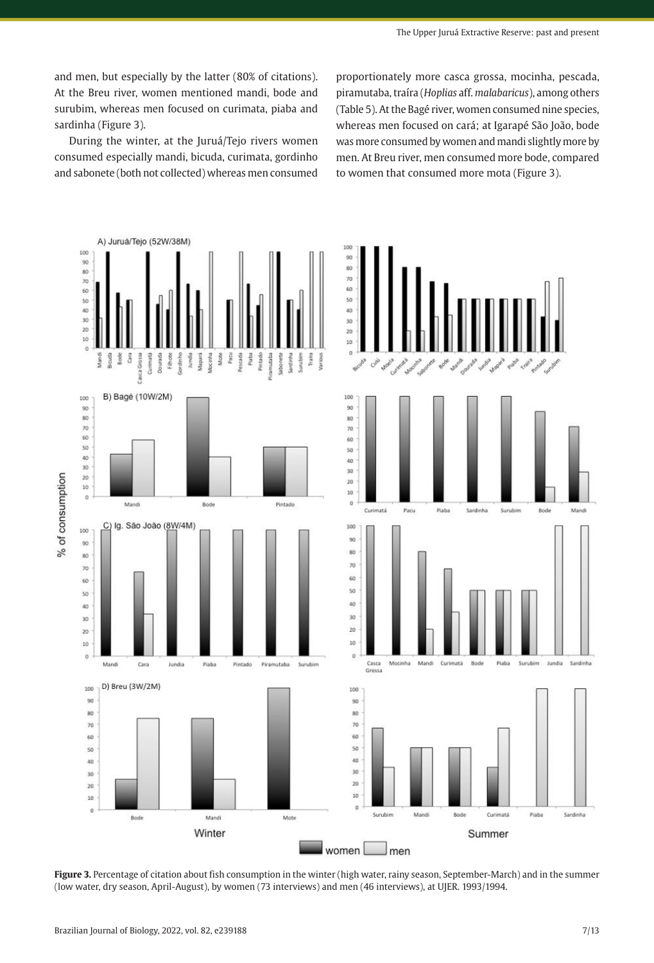and men, but especially by the latter (80% of citations). At the Breu river, women mentioned mandi, bode and surubim, whereas men focused on curimata, piaba and sardinha (Figure 3).

During the winter, at the Juruá/Tejo rivers women consumed especially mandi, bicuda, curimata, gordinho and sabonete (both not collected) whereas men consumed

proportionately more casca grossa, mocinha, pescada, piramutaba, traíra (*Hoplias* aff. *malabaricus*), among others (Table 5). At the Bagé river, women consumed nine species, whereas men focused on cará; at Igarapé São João, bode was more consumed by women and mandi slightly more by men. At Breu river, men consumed more bode, compared to women that consumed more mota (Figure 3).



**Figure 3.** Percentage of citation about fish consumption in the winter (high water, rainy season, September-March) and in the summer (low water, dry season, April-August), by women (73 interviews) and men (46 interviews), at UJER. 1993/1994.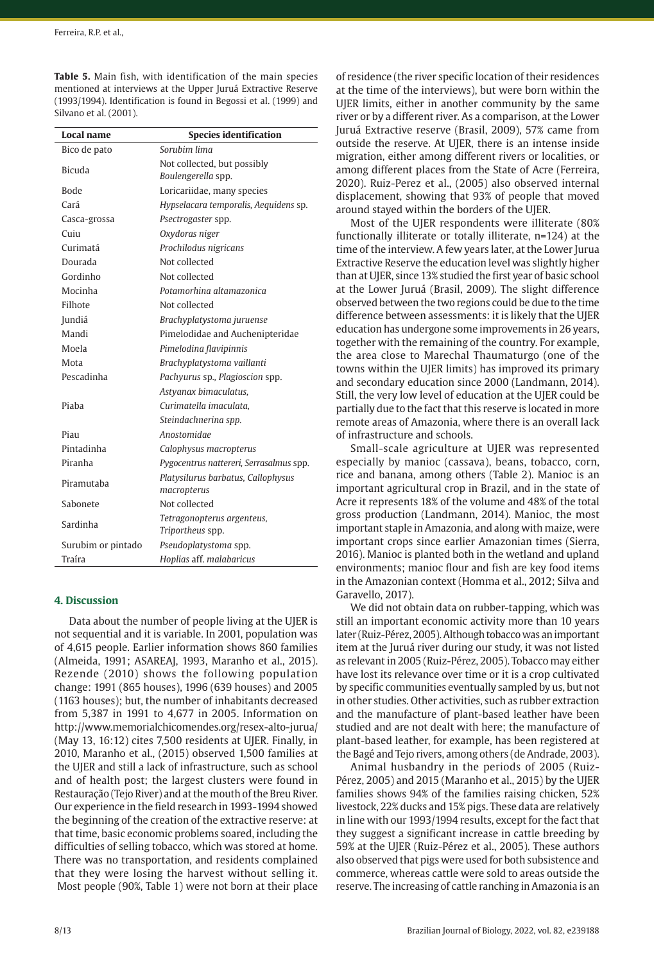**Table 5.** Main fish, with identification of the main species mentioned at interviews at the Upper Juruá Extractive Reserve (1993/1994). Identification is found in Begossi et al. (1999) and Silvano et al. (2001).

| Local name         | <b>Species identification</b>                  |
|--------------------|------------------------------------------------|
| Bico de pato       | Soruhim lima                                   |
| Bicuda             | Not collected, but possibly                    |
|                    | Boulengerella spp.                             |
| <b>Bode</b>        | Loricariidae, many species                     |
| Cará               | Hypselacara temporalis, Aequidens sp.          |
| Casca-grossa       | Psectrogaster spp.                             |
| Cuiu               | Oxydoras niger                                 |
| Curimatá           | Prochilodus nigricans                          |
| Dourada            | Not collected                                  |
| Gordinho           | Not collected                                  |
| Mocinha            | Potamorhina altamazonica                       |
| Filhote            | Not collected                                  |
| Jundiá             | Brachyplatystoma juruense                      |
| Mandi              | Pimelodidae and Auchenipteridae                |
| Moela              | Pimelodina flavipinnis                         |
| Mota               | Brachyplatystoma vaillanti                     |
| Pescadinha         | Pachyurus sp., Plagioscion spp.                |
|                    | Astvanax bimaculatus.                          |
| Piaba              | Curimatella imaculata.                         |
|                    | Steindachnerina spp.                           |
| Piau               | Anostomidae                                    |
| Pintadinha         | Calophysus macropterus                         |
| Piranha            | Pygocentrus nattereri, Serrasalmus spp.        |
| Piramutaba         | Platysilurus barbatus, Callophysus             |
| Sabonete           | macropterus<br>Not collected                   |
|                    |                                                |
| Sardinha           | Tetragonopterus argenteus,<br>Triportheus spp. |
| Surubim or pintado | Pseudoplatystoma spp.                          |
| Traíra             | Hoplias aff. malabaricus                       |

# **4. Discussion**

Data about the number of people living at the UJER is not sequential and it is variable. In 2001, population was of 4,615 people. Earlier information shows 860 families (Almeida, 1991; ASAREAJ, 1993, Maranho et al., 2015). Rezende (2010) shows the following population change: 1991 (865 houses), 1996 (639 houses) and 2005 (1163 houses); but, the number of inhabitants decreased from 5,387 in 1991 to 4,677 in 2005. Information on http://www.memorialchicomendes.org/resex-alto-jurua/ (May 13, 16:12) cites 7,500 residents at UJER. Finally, in 2010, Maranho et al., (2015) observed 1,500 families at the UJER and still a lack of infrastructure, such as school and of health post; the largest clusters were found in Restauração (Tejo River) and at the mouth of the Breu River. Our experience in the field research in 1993-1994 showed the beginning of the creation of the extractive reserve: at that time, basic economic problems soared, including the difficulties of selling tobacco, which was stored at home. There was no transportation, and residents complained that they were losing the harvest without selling it. Most people (90%, Table 1) were not born at their place of residence (the river specific location of their residences at the time of the interviews), but were born within the UJER limits, either in another community by the same river or by a different river. As a comparison, at the Lower Juruá Extractive reserve (Brasil, 2009), 57% came from outside the reserve. At UJER, there is an intense inside migration, either among different rivers or localities, or among different places from the State of Acre (Ferreira, 2020). Ruiz-Perez et al., (2005) also observed internal displacement, showing that 93% of people that moved around stayed within the borders of the UJER.

Most of the UJER respondents were illiterate (80% functionally illiterate or totally illiterate, n=124) at the time of the interview. A few years later, at the Lower Jurua Extractive Reserve the education level was slightly higher than at UJER, since 13% studied the first year of basic school at the Lower Juruá (Brasil, 2009). The slight difference observed between the two regions could be due to the time difference between assessments: it is likely that the UJER education has undergone some improvements in 26 years, together with the remaining of the country. For example, the area close to Marechal Thaumaturgo (one of the towns within the UJER limits) has improved its primary and secondary education since 2000 (Landmann, 2014). Still, the very low level of education at the UJER could be partially due to the fact that this reserve is located in more remote areas of Amazonia, where there is an overall lack of infrastructure and schools.

Small-scale agriculture at UJER was represented especially by manioc (cassava), beans, tobacco, corn, rice and banana, among others (Table 2). Manioc is an important agricultural crop in Brazil, and in the state of Acre it represents 18% of the volume and 48% of the total gross production (Landmann, 2014). Manioc, the most important staple in Amazonia, and along with maize, were important crops since earlier Amazonian times (Sierra, 2016). Manioc is planted both in the wetland and upland environments; manioc flour and fish are key food items in the Amazonian context (Homma et al., 2012; Silva and Garavello, 2017).

We did not obtain data on rubber-tapping, which was still an important economic activity more than 10 years later (Ruiz-Pérez, 2005). Although tobacco was an important item at the Juruá river during our study, it was not listed as relevant in 2005 (Ruiz-Pérez, 2005). Tobacco may either have lost its relevance over time or it is a crop cultivated by specific communities eventually sampled by us, but not in other studies. Other activities, such as rubber extraction and the manufacture of plant-based leather have been studied and are not dealt with here; the manufacture of plant-based leather, for example, has been registered at the Bagé and Tejo rivers, among others (de Andrade, 2003).

Animal husbandry in the periods of 2005 (Ruiz-Pérez, 2005) and 2015 (Maranho et al., 2015) by the UJER families shows 94% of the families raising chicken, 52% livestock, 22% ducks and 15% pigs. These data are relatively in line with our 1993/1994 results, except for the fact that they suggest a significant increase in cattle breeding by 59% at the UJER (Ruiz-Pérez et al., 2005). These authors also observed that pigs were used for both subsistence and commerce, whereas cattle were sold to areas outside the reserve. The increasing of cattle ranching in Amazonia is an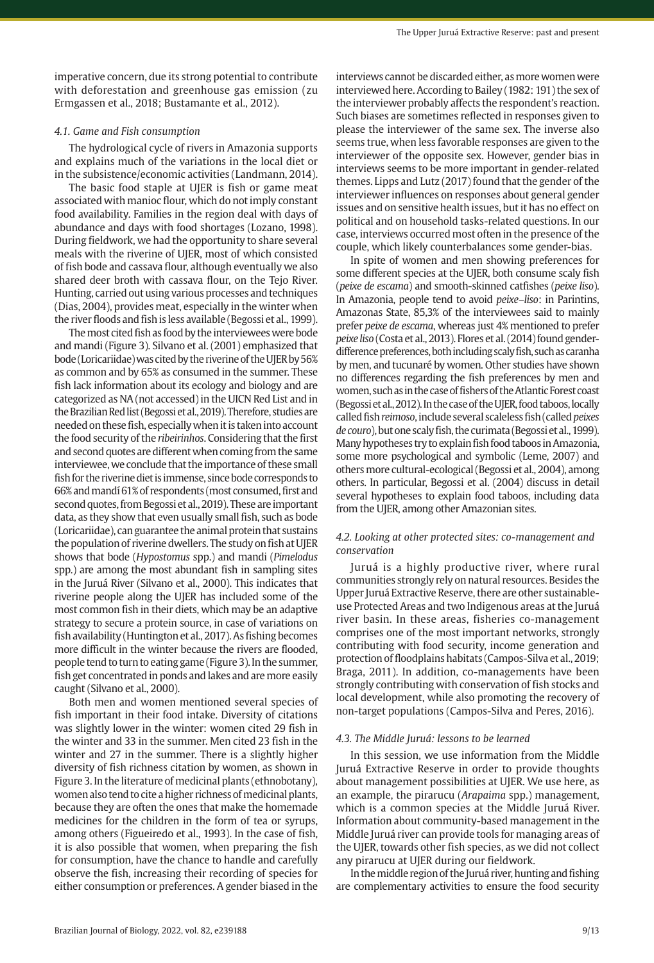imperative concern, due its strong potential to contribute with deforestation and greenhouse gas emission (zu Ermgassen et al., 2018; Bustamante et al., 2012).

### *4.1. Game and Fish consumption*

The hydrological cycle of rivers in Amazonia supports and explains much of the variations in the local diet or in the subsistence/economic activities (Landmann, 2014).

The basic food staple at UJER is fish or game meat associated with manioc flour, which do not imply constant food availability. Families in the region deal with days of abundance and days with food shortages (Lozano, 1998). During fieldwork, we had the opportunity to share several meals with the riverine of UJER, most of which consisted of fish bode and cassava flour, although eventually we also shared deer broth with cassava flour, on the Tejo River. Hunting, carried out using various processes and techniques (Dias, 2004), provides meat, especially in the winter when the river floods and fish is less available (Begossi et al., 1999).

The most cited fish as food by the interviewees were bode and mandi (Figure 3). Silvano et al. (2001) emphasized that bode (Loricariidae) was cited by the riverine of the UJER by 56% as common and by 65% as consumed in the summer. These fish lack information about its ecology and biology and are categorized as NA (not accessed) in the UICN Red List and in the Brazilian Red list (Begossietal.,2019). Therefore, studies are needed on these fish, especially when it is taken into account the food security of the *ribeirinhos*. Considering that the first and second quotes are different when coming from the same interviewee, we conclude that the importance of these small fish for the riverine diet is immense, since bode corresponds to 66% and mandí 61% of respondents (most consumed, first and second quotes, from Begossiet al.,2019). These are important data, as they show that even usually small fish, such as bode (Loricariidae), can guarantee the animal protein that sustains the population of riverine dwellers. The study on fish at UJER shows that bode (*Hypostomus* spp.) and mandi (*Pimelodus* spp.) are among the most abundant fish in sampling sites in the Juruá River (Silvano et al., 2000). This indicates that riverine people along the UJER has included some of the most common fish in their diets, which may be an adaptive strategy to secure a protein source, in case of variations on fish availability (Huntingtonet al.,2017). As fishing becomes more difficult in the winter because the rivers are flooded, people tend to turn to eating game (Figure3). In the summer, fish get concentrated in ponds and lakes and are more easily caught (Silvano et al., 2000).

Both men and women mentioned several species of fish important in their food intake. Diversity of citations was slightly lower in the winter: women cited 29 fish in the winter and 33 in the summer. Men cited 23 fish in the winter and 27 in the summer. There is a slightly higher diversity of fish richness citation by women, as shown in Figure 3. In the literature of medicinal plants (ethnobotany), women also tend to cite a higher richness of medicinal plants, because they are often the ones that make the homemade medicines for the children in the form of tea or syrups, among others (Figueiredo et al., 1993). In the case of fish, it is also possible that women, when preparing the fish for consumption, have the chance to handle and carefully observe the fish, increasing their recording of species for either consumption or preferences. A gender biased in the

interviews cannot be discarded either, as more women were interviewed here. According to Bailey (1982: 191) the sex of the interviewer probably affects the respondent's reaction. Such biases are sometimes reflected in responses given to please the interviewer of the same sex. The inverse also seems true, when less favorable responses are given to the interviewer of the opposite sex. However, gender bias in interviews seems to be more important in gender-related themes. Lipps and Lutz (2017) found that the gender of the interviewer influences on responses about general gender issues and on sensitive health issues, but it has no effect on political and on household tasks-related questions. In our case, interviews occurred most often in the presence of the couple, which likely counterbalances some gender-bias.

In spite of women and men showing preferences for some different species at the UJER, both consume scaly fish (*peixe de escama*) and smooth-skinned catfishes (*peixe liso*). In Amazonia, people tend to avoid *peixe–liso*: in Parintins, Amazonas State, 85,3% of the interviewees said to mainly prefer *peixe de escama*, whereas just 4% mentioned to prefer *peixe liso* (Costa et al.,2013). Flores et al. (2014) found genderdifference preferences, both including scaly fish, such as caranha by men, and tucunaré by women. Other studies have shown no differences regarding the fish preferences by men and women, such as in the case of fishers of the Atlantic Forest coast (Begossietal.,2012). In the case of the UJER, food taboos, locally called fish *reimoso*, include several scaleless fish (called *peixes de couro*), but one scaly fish, the curimata (Begossietal.,1999). Many hypotheses try to explain fish food taboos in Amazonia, some more psychological and symbolic (Leme, 2007) and others more cultural-ecological (Begossi et al., 2004), among others. In particular, Begossi et al. (2004) discuss in detail several hypotheses to explain food taboos, including data from the UJER, among other Amazonian sites.

# *4.2. Looking at other protected sites: co-management and conservation*

Juruá is a highly productive river, where rural communities strongly rely on natural resources. Besides the Upper Juruá Extractive Reserve, there are other sustainableuse Protected Areas and two Indigenous areas at the Juruá river basin. In these areas, fisheries co-management comprises one of the most important networks, strongly contributing with food security, income generation and protection of floodplains habitats (Campos-Silva et al., 2019; Braga, 2011). In addition, co-managements have been strongly contributing with conservation of fish stocks and local development, while also promoting the recovery of non-target populations (Campos-Silva and Peres, 2016).

### *4.3. The Middle Juruá: lessons to be learned*

In this session, we use information from the Middle Juruá Extractive Reserve in order to provide thoughts about management possibilities at UJER. We use here, as an example, the pirarucu (*Arapaima* spp.) management, which is a common species at the Middle Juruá River. Information about community-based management in the Middle Juruá river can provide tools for managing areas of the UJER, towards other fish species, as we did not collect any pirarucu at UJER during our fieldwork.

In the middle region of the Juruá river, hunting and fishing are complementary activities to ensure the food security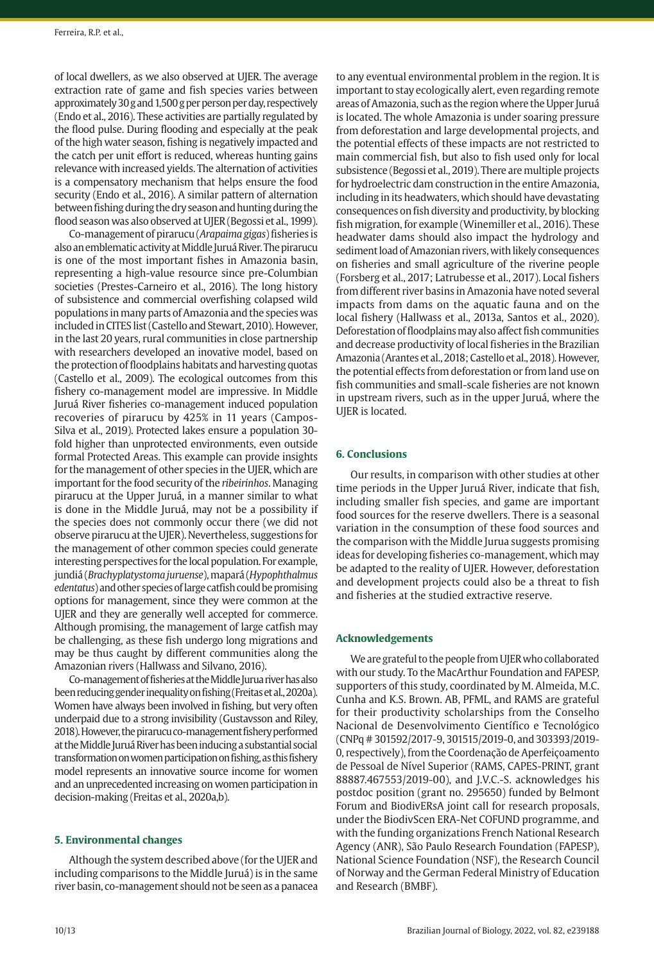of local dwellers, as we also observed at UJER. The average extraction rate of game and fish species varies between approximately 30g and 1,500g per person per day, respectively (Endo et al., 2016). These activities are partially regulated by the flood pulse. During flooding and especially at the peak of the high water season, fishing is negatively impacted and the catch per unit effort is reduced, whereas hunting gains relevance with increased yields. The alternation of activities is a compensatory mechanism that helps ensure the food security (Endo et al., 2016). A similar pattern of alternation between fishing during the dry season and hunting during the flood season was also observed at UJER (Begossi et al., 1999).

Co-management of pirarucu (*Arapaima gigas*) fisheries is also an emblematic activity at Middle Juruá River. The pirarucu is one of the most important fishes in Amazonia basin, representing a high-value resource since pre-Columbian societies (Prestes-Carneiro et al., 2016). The long history of subsistence and commercial overfishing colapsed wild populations in many parts of Amazonia and the species was included in CITES list (Castello and Stewart, 2010). However, in the last 20 years, rural communities in close partnership with researchers developed an inovative model, based on the protection of floodplains habitats and harvesting quotas (Castello et al., 2009). The ecological outcomes from this fishery co-management model are impressive. In Middle Juruá River fisheries co-management induced population recoveries of pirarucu by 425% in 11 years (Campos-Silva et al., 2019). Protected lakes ensure a population 30 fold higher than unprotected environments, even outside formal Protected Areas. This example can provide insights for the management of other species in the UJER, which are important for the food security of the *ribeirinhos*. Managing pirarucu at the Upper Juruá, in a manner similar to what is done in the Middle Juruá, may not be a possibility if the species does not commonly occur there (we did not observe pirarucu at the UJER). Nevertheless, suggestions for the management of other common species could generate interesting perspectives for the local population. For example, jundiá (*Brachyplatystoma juruense*), mapará (*Hypophthalmus edentatus*) and other species of large catfish could be promising options for management, since they were common at the UJER and they are generally well accepted for commerce. Although promising, the management of large catfish may be challenging, as these fish undergo long migrations and may be thus caught by different communities along the Amazonian rivers (Hallwass and Silvano, 2016).

Co-management of fisheries at the Middle Jurua river has also been reducing gender inequality on fishing (Freitas et al., 2020a). Women have always been involved in fishing, but very often underpaid due to a strong invisibility (Gustavsson and Riley, 2018). However, the pirarucu co-management fishery performed at the Middle Juruá River has been inducing a substantial social transformation on women participation on fishing, as this fishery model represents an innovative source income for women and an unprecedented increasing on women participation in decision-making (Freitas et al., 2020a,b).

#### **5. Environmental changes**

Although the system described above (for the UJER and including comparisons to the Middle Juruá) is in the same river basin, co-management should not be seen as a panacea to any eventual environmental problem in the region. It is important to stay ecologically alert, even regarding remote areas of Amazonia, such as the region where the Upper Juruá is located. The whole Amazonia is under soaring pressure from deforestation and large developmental projects, and the potential effects of these impacts are not restricted to main commercial fish, but also to fish used only for local subsistence (Begossi et al., 2019). There are multiple projects for hydroelectric dam construction in the entire Amazonia, including in its headwaters, which should have devastating consequences on fish diversity and productivity, by blocking fish migration, for example (Winemiller et al., 2016). These headwater dams should also impact the hydrology and sediment load of Amazonian rivers, with likely consequences on fisheries and small agriculture of the riverine people (Forsberg et al., 2017; Latrubesse et al., 2017). Local fishers from different river basins in Amazonia have noted several impacts from dams on the aquatic fauna and on the local fishery (Hallwass et al., 2013a, Santos et al., 2020). Deforestation of floodplains may also affect fish communities and decrease productivity of local fisheries in the Brazilian Amazonia (Arantes et al.,2018; Castello et al.,2018). However, the potential effects from deforestation or from land use on fish communities and small-scale fisheries are not known in upstream rivers, such as in the upper Juruá, where the UJER is located.

### **6. Conclusions**

Our results, in comparison with other studies at other time periods in the Upper Juruá River, indicate that fish, including smaller fish species, and game are important food sources for the reserve dwellers. There is a seasonal variation in the consumption of these food sources and the comparison with the Middle Jurua suggests promising ideas for developing fisheries co-management, which may be adapted to the reality of UJER. However, deforestation and development projects could also be a threat to fish and fisheries at the studied extractive reserve.

### **Acknowledgements**

We are grateful to the people from UJER who collaborated with our study. To the MacArthur Foundation and FAPESP, supporters of this study, coordinated by M. Almeida, M.C. Cunha and K.S. Brown. AB, PFML, and RAMS are grateful for their productivity scholarships from the Conselho Nacional de Desenvolvimento Científico e Tecnológico (CNPq # 301592/2017-9, 301515/2019-0, and 303393/2019- 0, respectively), from the Coordenação de Aperfeiçoamento de Pessoal de Nível Superior (RAMS, CAPES-PRINT, grant 88887.467553/2019-00), and J.V.C.-S. acknowledges his postdoc position (grant no. 295650) funded by Belmont Forum and BiodivERsA joint call for research proposals, under the BiodivScen ERA-Net COFUND programme, and with the funding organizations French National Research Agency (ANR), São Paulo Research Foundation (FAPESP), National Science Foundation (NSF), the Research Council of Norway and the German Federal Ministry of Education and Research (BMBF).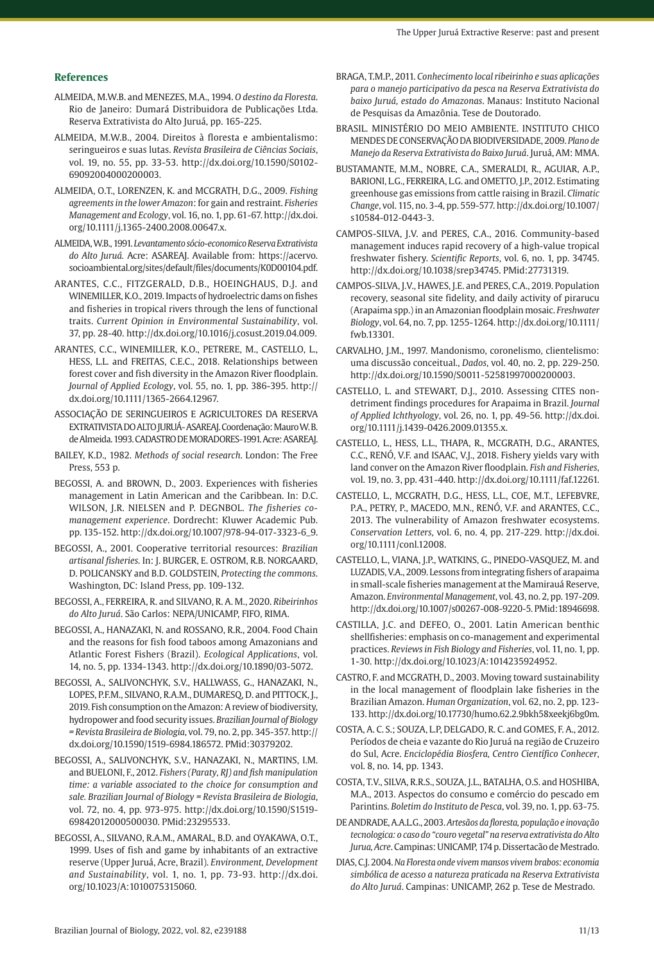### **References**

- ALMEIDA, M.W.B. and MENEZES, M.A., 1994. *O destino da Floresta*. Rio de Janeiro: Dumará Distribuidora de Publicações Ltda. Reserva Extrativista do Alto Juruá, pp. 165-225.
- ALMEIDA, M.W.B., 2004. Direitos à floresta e ambientalismo: seringueiros e suas lutas. *Revista Brasileira de Ciências Sociais*, vol. 19, no. 55, pp. 33-53. [http://dx.doi.org/10.1590/S0102-](https://doi.org/10.1590/S0102-69092004000200003) [69092004000200003](https://doi.org/10.1590/S0102-69092004000200003).
- ALMEIDA, O.T., LORENZEN, K. and MCGRATH, D.G., 2009. *Fishing agreements in the lower Amazon*: for gain and restraint. *Fisheries Management and Ecology*, vol. 16, no. 1, pp. 61-67. [http://dx.doi.](https://doi.org/10.1111/j.1365-2400.2008.00647.x) [org/10.1111/j.1365-2400.2008.00647.x](https://doi.org/10.1111/j.1365-2400.2008.00647.x).
- ALMEIDA, W.B., 1991. *Levantamento sócio-economico Reserva Extrativista do Alto Juruá.* Acre: ASAREAJ. Available from: https://acervo. socioambiental.org/sites/default/files/documents/K0D00104.pdf.
- ARANTES, C.C., FITZGERALD, D.B., HOEINGHAUS, D.J. and WINEMILLER, K.O., 2019. Impacts of hydroelectric dams on fishes and fisheries in tropical rivers through the lens of functional traits. *Current Opinion in Environmental Sustainability*, vol. 37, pp. 28-40. [http://dx.doi.org/10.1016/j.cosust.2019.04.009.](https://doi.org/10.1016/j.cosust.2019.04.009)
- ARANTES, C.C., WINEMILLER, K.O., PETRERE, M., CASTELLO, L., HESS, L.L. and FREITAS, C.E.C., 2018. Relationships between forest cover and fish diversity in the Amazon River floodplain. *Journal of Applied Ecology*, vol. 55, no. 1, pp. 386-395. [http://](https://doi.org/10.1111/1365-2664.12967) [dx.doi.org/10.1111/1365-2664.12967.](https://doi.org/10.1111/1365-2664.12967)
- ASSOCIAÇÃO DE SERINGUEIROS E AGRICULTORES DA RESERVA EXTRATIVISTA DO ALTO JURUÁ- ASAREAJ. Coordenação: Mauro W. B. de Almeida. 1993. CADASTRO DE MORADORES-1991. Acre: ASAREAJ.
- BAILEY, K.D., 1982. *Methods of social research*. London: The Free Press, 553 p.
- BEGOSSI, A. and BROWN, D., 2003. Experiences with fisheries management in Latin American and the Caribbean. In: D.C. WILSON, J.R. NIELSEN and P. DEGNBOL. *The fisheries comanagement experience*. Dordrecht: Kluwer Academic Pub. pp. 135-152. [http://dx.doi.org/10.1007/978-94-017-3323-6\\_9](https://doi.org/10.1007/978-94-017-3323-6_9).
- BEGOSSI, A., 2001. Cooperative territorial resources: *Brazilian artisanal fisheries.* In: J. BURGER, E. OSTROM, R.B. NORGAARD, D. POLICANSKY and B.D. GOLDSTEIN, *Protecting the commons*. Washington, DC: Island Press, pp. 109-132.
- BEGOSSI, A., FERREIRA, R. and SILVANO, R. A. M., 2020. *Ribeirinhos do Alto Juruá*. São Carlos: NEPA/UNICAMP, FIFO, RIMA.
- BEGOSSI, A., HANAZAKI, N. and ROSSANO, R.R., 2004. Food Chain and the reasons for fish food taboos among Amazonians and Atlantic Forest Fishers (Brazil). *Ecological Applications*, vol. 14, no. 5, pp. 1334-1343. [http://dx.doi.org/10.1890/03-5072.](https://doi.org/10.1890/03-5072)
- BEGOSSI, A., SALIVONCHYK, S.V., HALLWASS, G., HANAZAKI, N., LOPES, P.F.M., SILVANO, R.A.M., DUMARESQ, D. and PITTOCK, J., 2019. Fish consumption on the Amazon: A review of biodiversity, hydropower and food security issues. *Brazilian Journal of Biology = Revista Brasileira de Biologia*, vol. 79, no. 2, pp. 345-357. [http://](https://doi.org/10.1590/1519-6984.186572) [dx.doi.org/10.1590/1519-6984.186572.](https://doi.org/10.1590/1519-6984.186572) [PMid:30379202.](https://www.ncbi.nlm.nih.gov/entrez/query.fcgi?cmd=Retrieve&db=PubMed&list_uids=30379202&dopt=Abstract)
- BEGOSSI, A., SALIVONCHYK, S.V., HANAZAKI, N., MARTINS, I.M. and BUELONI, F., 2012. *Fishers (Paraty, RJ) and fish manipulation time: a variable associated to the choice for consumption and sale. Brazilian Journal of Biology = Revista Brasileira de Biologia*, vol. 72, no. 4, pp. 973-975. [http://dx.doi.org/10.1590/S1519-](https://doi.org/10.1590/S1519-69842012000500030) [69842012000500030](https://doi.org/10.1590/S1519-69842012000500030). [PMid:23295533.](https://www.ncbi.nlm.nih.gov/entrez/query.fcgi?cmd=Retrieve&db=PubMed&list_uids=23295533&dopt=Abstract)
- BEGOSSI, A., SILVANO, R.A.M., AMARAL, B.D. and OYAKAWA, O.T., 1999. Uses of fish and game by inhabitants of an extractive reserve (Upper Juruá, Acre, Brazil). *Environment, Development and Sustainability*, vol. 1, no. 1, pp. 73-93. [http://dx.doi.](https://doi.org/10.1023/A:1010075315060) [org/10.1023/A:1010075315060.](https://doi.org/10.1023/A:1010075315060)
- BRAGA, T.M.P., 2011. *Conhecimento local ribeirinho e suas aplicações para o manejo participativo da pesca na Reserva Extrativista do baixo Juruá, estado do Amazonas*. Manaus: Instituto Nacional de Pesquisas da Amazônia. Tese de Doutorado.
- BRASIL. MINISTÉRIO DO MEIO AMBIENTE. INSTITUTO CHICO MENDES DE CONSERVAÇÃO DA BIODIVERSIDADE, 2009. *Plano de Manejo da Reserva Extrativista do Baixo Juruá*. Juruá, AM: MMA.
- BUSTAMANTE, M.M., NOBRE, C.A., SMERALDI, R., AGUIAR, A.P., BARIONI, L.G., FERREIRA, L.G. and OMETTO, J.P., 2012. Estimating greenhouse gas emissions from cattle raising in Brazil. *Climatic Change*, vol. 115, no. 3-4, pp. 559-577. [http://dx.doi.org/10.1007/](https://doi.org/10.1007/s10584-012-0443-3) [s10584-012-0443-3](https://doi.org/10.1007/s10584-012-0443-3).
- CAMPOS-SILVA, J.V. and PERES, C.A., 2016. Community-based management induces rapid recovery of a high-value tropical freshwater fishery. *Scientific Reports*, vol. 6, no. 1, pp. 34745. [http://dx.doi.org/10.1038/srep34745](https://doi.org/10.1038/srep34745). [PMid:27731319.](https://www.ncbi.nlm.nih.gov/entrez/query.fcgi?cmd=Retrieve&db=PubMed&list_uids=27731319&dopt=Abstract)
- CAMPOS-SILVA, J.V., HAWES, J.E. and PERES, C.A., 2019. Population recovery, seasonal site fidelity, and daily activity of pirarucu (Arapaima spp.) in an Amazonian floodplain mosaic. *Freshwater Biology*, vol. 64, no. 7, pp. 1255-1264. [http://dx.doi.org/10.1111/](https://doi.org/10.1111/fwb.13301) [fwb.13301.](https://doi.org/10.1111/fwb.13301)
- CARVALHO, J.M., 1997. Mandonismo, coronelismo, clientelismo: uma discussão conceitual., *Dados*, vol. 40, no. 2, pp. 229-250. [http://dx.doi.org/10.1590/S0011-52581997000200003](https://doi.org/10.1590/S0011-52581997000200003).
- CASTELLO, L. and STEWART, D.J., 2010. Assessing CITES nondetriment findings procedures for Arapaima in Brazil. *Journal of Applied Ichthyology*, vol. 26, no. 1, pp. 49-56. [http://dx.doi.](https://doi.org/10.1111/j.1439-0426.2009.01355.x) [org/10.1111/j.1439-0426.2009.01355.x.](https://doi.org/10.1111/j.1439-0426.2009.01355.x)
- CASTELLO, L., HESS, L.L., THAPA, R., MCGRATH, D.G., ARANTES, C.C., RENÓ, V.F. and ISAAC, V.J., 2018. Fishery yields vary with land conver on the Amazon River floodplain. *Fish and Fisheries*, vol. 19, no. 3, pp. 431-440. [http://dx.doi.org/10.1111/faf.12261](https://doi.org/10.1111/faf.12261).
- CASTELLO, L., MCGRATH, D.G., HESS, L.L., COE, M.T., LEFEBVRE, P.A., PETRY, P., MACEDO, M.N., RENÓ, V.F. and ARANTES, C.C., 2013. The vulnerability of Amazon freshwater ecosystems. *Conservation Letters*, vol. 6, no. 4, pp. 217-229. [http://dx.doi.](https://doi.org/10.1111/conl.12008) [org/10.1111/conl.12008.](https://doi.org/10.1111/conl.12008)
- CASTELLO, L., VIANA, J.P., WATKINS, G., PINEDO-VASQUEZ, M. and LUZADIS, V.A., 2009. Lessons from integrating fishers of arapaima in small-scale fisheries management at the Mamirauá Reserve, Amazon. *Environmental Management*, vol. 43, no. 2, pp. 197-209. [http://dx.doi.org/10.1007/s00267-008-9220-5](https://doi.org/10.1007/s00267-008-9220-5). [PMid:18946698.](https://www.ncbi.nlm.nih.gov/entrez/query.fcgi?cmd=Retrieve&db=PubMed&list_uids=18946698&dopt=Abstract)
- CASTILLA, J.C. and DEFEO, O., 2001. Latin American benthic shellfisheries: emphasis on co-management and experimental practices. *Reviews in Fish Biology and Fisheries*, vol. 11, no. 1, pp. 1-30. [http://dx.doi.org/10.1023/A:1014235924952](https://doi.org/10.1023/A:1014235924952).
- CASTRO, F. and MCGRATH, D., 2003. Moving toward sustainability in the local management of floodplain lake fisheries in the Brazilian Amazon. *Human Organization*, vol. 62, no. 2, pp. 123- 133. [http://dx.doi.org/10.17730/humo.62.2.9bkh58xeekj6bg0m](https://doi.org/10.17730/humo.62.2.9bkh58xeekj6bg0m).
- COSTA, A. C. S.; SOUZA, L.P, DELGADO, R. C. and GOMES, F. A., 2012. Períodos de cheia e vazante do Rio Juruá na região de Cruzeiro do Sul, Acre. *Enciclopédia Biosfera, Centro Científico Conhecer*, vol. 8, no. 14, pp. 1343.
- COSTA, T.V., SILVA, R.R.S., SOUZA, J.L., BATALHA, O.S. and HOSHIBA, M.A., 2013. Aspectos do consumo e comércio do pescado em Parintins. *Boletim do Instituto de Pesca*, vol. 39, no. 1, pp. 63-75.
- DE ANDRADE, A.A.L.G., 2003. *Artesãos da floresta, população e inovação tecnologica: o caso do "couro vegetal" na reserva extrativista do Alto Jurua, Acre*. Campinas: UNICAMP, 174 p. Dissertacão de Mestrado.
- DIAS, C.J. 2004. *Na Floresta onde vivem mansos vivem brabos: economia simbólica de acesso a natureza praticada na Reserva Extrativista do Alto Juruá*. Campinas: UNICAMP, 262 p. Tese de Mestrado.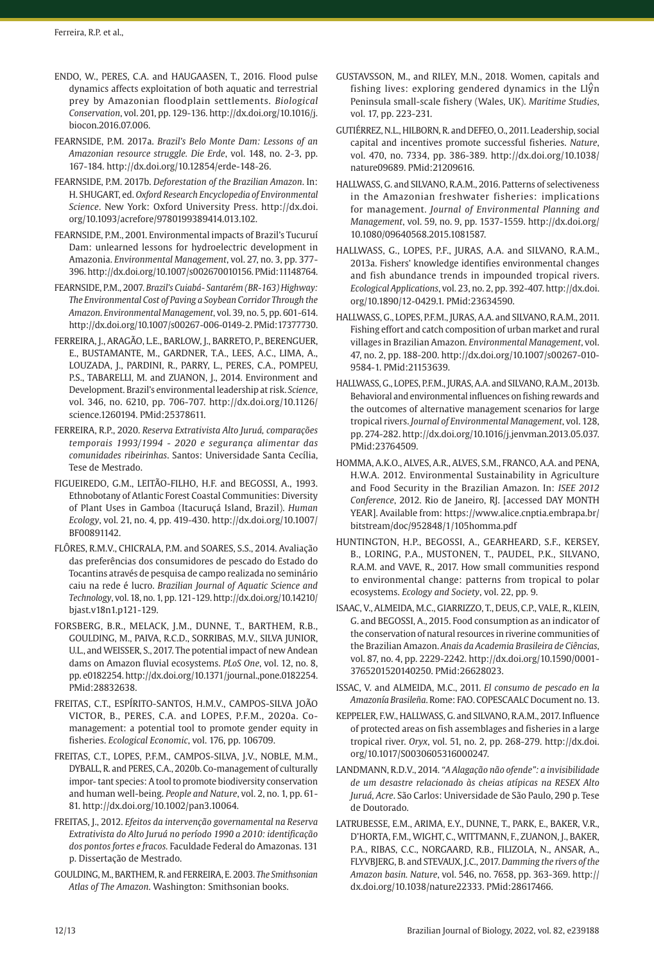- ENDO, W., PERES, C.A. and HAUGAASEN, T., 2016. Flood pulse dynamics affects exploitation of both aquatic and terrestrial prey by Amazonian floodplain settlements. *Biological Conservation*, vol. 201, pp. 129-136. [http://dx.doi.org/10.1016/j.](https://doi.org/10.1016/j.biocon.2016.07.006) [biocon.2016.07.006.](https://doi.org/10.1016/j.biocon.2016.07.006)
- FEARNSIDE, P.M. 2017a. *Brazil's Belo Monte Dam: Lessons of an Amazonian resource struggle. Die Erde*, vol. 148, no. 2-3, pp. 167-184. http://dx.doi.org/10.12854/erde-148-26.
- FEARNSIDE, P.M. 2017b. *Deforestation of the Brazilian Amazon*. In: H. SHUGART, ed. *Oxford Research Encyclopedia of Environmental Science*. New York: Oxford University Press. [http://dx.doi.](https://doi.org/10.1093/acrefore/9780199389414.013.102) [org/10.1093/acrefore/9780199389414.013.102](https://doi.org/10.1093/acrefore/9780199389414.013.102).
- FEARNSIDE, P.M., 2001. Environmental impacts of Brazil's Tucuruí Dam: unlearned lessons for hydroelectric development in Amazonia. *Environmental Management*, vol. 27, no. 3, pp. 377- 396. [http://dx.doi.org/10.1007/s002670010156](https://doi.org/10.1007/s002670010156). [PMid:11148764.](https://www.ncbi.nlm.nih.gov/entrez/query.fcgi?cmd=Retrieve&db=PubMed&list_uids=11148764&dopt=Abstract)
- FEARNSIDE, P.M., 2007. *Brazil's Cuiabá- Santarém (BR-163) Highway: The Environmental Cost of Paving a Soybean Corridor Through the Amazon*. *Environmental Management*, vol. 39, no. 5, pp. 601-614. [http://dx.doi.org/10.1007/s00267-006-0149-2](https://doi.org/10.1007/s00267-006-0149-2). [PMid:17377730.](https://www.ncbi.nlm.nih.gov/entrez/query.fcgi?cmd=Retrieve&db=PubMed&list_uids=17377730&dopt=Abstract)
- FERREIRA, J., ARAGÃO, L.E., BARLOW, J., BARRETO, P., BERENGUER, E., BUSTAMANTE, M., GARDNER, T.A., LEES, A.C., LIMA, A., LOUZADA, J., PARDINI, R., PARRY, L., PERES, C.A., POMPEU, P.S., TABARELLI, M. and ZUANON, J., 2014. Environment and Development. Brazil's environmental leadership at risk. *Science*, vol. 346, no. 6210, pp. 706-707. [http://dx.doi.org/10.1126/](https://doi.org/10.1126/science.1260194) [science.1260194](https://doi.org/10.1126/science.1260194)[. PMid:25378611.](https://www.ncbi.nlm.nih.gov/entrez/query.fcgi?cmd=Retrieve&db=PubMed&list_uids=25378611&dopt=Abstract)
- FERREIRA, R.P., 2020. *Reserva Extrativista Alto Juruá, comparações temporais 1993/1994 - 2020 e segurança alimentar das comunidades ribeirinhas*. Santos: Universidade Santa Cecília, Tese de Mestrado.
- FIGUEIREDO, G.M., LEITÃO-FILHO, H.F. and BEGOSSI, A., 1993. Ethnobotany of Atlantic Forest Coastal Communities: Diversity of Plant Uses in Gamboa (Itacuruçá Island, Brazil). *Human Ecology*, vol. 21, no. 4, pp. 419-430. [http://dx.doi.org/10.1007/](https://doi.org/10.1007/BF00891142) [BF00891142.](https://doi.org/10.1007/BF00891142)
- FLÔRES, R.M.V., CHICRALA, P.M. and SOARES, S.S., 2014. Avaliação das preferências dos consumidores de pescado do Estado do Tocantins através de pesquisa de campo realizada no seminário caiu na rede é lucro. *Brazilian Journal of Aquatic Science and Technology*, vol. 18, no. 1, pp. 121-129. [http://dx.doi.org/10.14210/](https://doi.org/10.14210/bjast.v18n1.p121-129) [bjast.v18n1.p121-129](https://doi.org/10.14210/bjast.v18n1.p121-129).
- FORSBERG, B.R., MELACK, J.M., DUNNE, T., BARTHEM, R.B., GOULDING, M., PAIVA, R.C.D., SORRIBAS, M.V., SILVA JUNIOR, U.L., and WEISSER, S., 2017. The potential impact of new Andean dams on Amazon fluvial ecosystems. *PLoS One*, vol. 12, no. 8, pp. e0182254. [http://dx.doi.org/10.1371/journal.,pone.0182254](https://doi.org/10.1371/journal.pone.0182254). [PMid:28832638.](https://www.ncbi.nlm.nih.gov/entrez/query.fcgi?cmd=Retrieve&db=PubMed&list_uids=28832638&dopt=Abstract)
- FREITAS, C.T., ESPÍRITO-SANTOS, H.M.V., CAMPOS-SILVA JOÃO VICTOR, B., PERES, C.A. and LOPES, P.F.M., 2020a. Comanagement: a potential tool to promote gender equity in fisheries. *Ecological Economic*, vol. 176, pp. 106709.
- FREITAS, C.T., LOPES, P.F.M., CAMPOS-SILVA, J.V., NOBLE, M.M., DYBALL, R. and PERES, C.A., 2020b. Co-management of culturally impor- tant species: A tool to promote biodiversity conservation and human well-being. *People and Nature*, vol. 2, no. 1, pp. 61- 81. [http://dx.doi.org/10.1002/pan3.10064.](https://doi.org/10.1002/pan3.10064)
- FREITAS, J., 2012. *Efeitos da intervenção governamental na Reserva Extrativista do Alto Juruá no período 1990 a 2010: identificação dos pontos fortes e fracos.* Faculdade Federal do Amazonas. 131 p. Dissertação de Mestrado.
- GOULDING, M., BARTHEM, R. and FERREIRA, E. 2003. *The Smithsonian Atlas of The Amazon*. Washington: Smithsonian books.
- GUSTAVSSON, M., and RILEY, M.N., 2018. Women, capitals and fishing lives: exploring gendered dynamics in the  $L\hat{y}$ n Peninsula small-scale fishery (Wales, UK). *Maritime Studies*, vol. 17, pp. 223-231.
- GUTIÉRREZ, N.L., HILBORN, R. and DEFEO, O., 2011. Leadership, social capital and incentives promote successful fisheries. *Nature*, vol. 470, no. 7334, pp. 386-389. [http://dx.doi.org/10.1038/](https://doi.org/10.1038/nature09689) [nature09689](https://doi.org/10.1038/nature09689). [PMid:21209616.](https://www.ncbi.nlm.nih.gov/entrez/query.fcgi?cmd=Retrieve&db=PubMed&list_uids=21209616&dopt=Abstract)
- HALLWASS, G. and SILVANO, R.A.M., 2016. Patterns of selectiveness in the Amazonian freshwater fisheries: implications for management. *Journal of Environmental Planning and Management*, vol. 59, no. 9, pp. 1537-1559. [http://dx.doi.org/](https://doi.org/10.1080/09640568.2015.1081587) [10.1080/09640568.2015.1081587.](https://doi.org/10.1080/09640568.2015.1081587)
- HALLWASS, G., LOPES, P.F., JURAS, A.A. and SILVANO, R.A.M., 2013a. Fishers' knowledge identifies environmental changes and fish abundance trends in impounded tropical rivers. *Ecological Applications*, vol. 23, no. 2, pp. 392-407. [http://dx.doi.](https://doi.org/10.1890/12-0429.1) [org/10.1890/12-0429.1.](https://doi.org/10.1890/12-0429.1) [PMid:23634590.](https://www.ncbi.nlm.nih.gov/entrez/query.fcgi?cmd=Retrieve&db=PubMed&list_uids=23634590&dopt=Abstract)
- HALLWASS, G., LOPES, P.F.M., JURAS, A.A. and SILVANO, R.A.M., 2011. Fishing effort and catch composition of urban market and rural villages in Brazilian Amazon. *Environmental Management*, vol. 47, no. 2, pp. 188-200. [http://dx.doi.org/10.1007/s00267-010-](https://doi.org/10.1007/s00267-010-9584-1) [9584-1.](https://doi.org/10.1007/s00267-010-9584-1) [PMid:21153639.](https://www.ncbi.nlm.nih.gov/entrez/query.fcgi?cmd=Retrieve&db=PubMed&list_uids=21153639&dopt=Abstract)
- HALLWASS, G., LOPES, P.F.M., JURAS, A.A. and SILVANO, R.A.M., 2013b. Behavioral and environmental influences on fishing rewards and the outcomes of alternative management scenarios for large tropical rivers. *Journal of Environmental Management*, vol. 128, pp. 274-282. [http://dx.doi.org/10.1016/j.jenvman.2013.05.037](https://doi.org/10.1016/j.jenvman.2013.05.037). [PMid:23764509.](https://www.ncbi.nlm.nih.gov/entrez/query.fcgi?cmd=Retrieve&db=PubMed&list_uids=23764509&dopt=Abstract)
- HOMMA, A.K.O., ALVES, A.R., ALVES, S.M., FRANCO, A.A. and PENA, H.W.A. 2012. Environmental Sustainability in Agriculture and Food Security in the Brazilian Amazon. In: *ISEE 2012 Conference*, 2012. Rio de Janeiro, RJ. [accessed DAY MONTH YEAR]. Available from: https://www.alice.cnptia.embrapa.br/ bitstream/doc/952848/1/105homma.pdf
- HUNTINGTON, H.P., BEGOSSI, A., GEARHEARD, S.F., KERSEY, B., LORING, P.A., MUSTONEN, T., PAUDEL, P.K., SILVANO, R.A.M. and VAVE, R., 2017. How small communities respond to environmental change: patterns from tropical to polar ecosystems. *Ecology and Society*, vol. 22, pp. 9.
- ISAAC, V., ALMEIDA, M.C., GIARRIZZO, T., DEUS, C.P., VALE, R., KLEIN, G. and BEGOSSI, A., 2015. Food consumption as an indicator of the conservation of natural resources in riverine communities of the Brazilian Amazon. *Anais da Academia Brasileira de Ciências*, vol. 87, no. 4, pp. 2229-2242. [http://dx.doi.org/10.1590/0001-](https://doi.org/10.1590/0001-3765201520140250) [3765201520140250](https://doi.org/10.1590/0001-3765201520140250). [PMid:26628023.](https://www.ncbi.nlm.nih.gov/entrez/query.fcgi?cmd=Retrieve&db=PubMed&list_uids=26628023&dopt=Abstract)
- ISSAC, V. and ALMEIDA, M.C., 2011. *El consumo de pescado en la Amazonía Brasileña*. Rome: FAO. COPESCAALC Document no. 13.
- KEPPELER, F.W., HALLWASS, G. and SILVANO, R.A.M., 2017. Influence of protected areas on fish assemblages and fisheries in a large tropical river. *Oryx*, vol. 51, no. 2, pp. 268-279. [http://dx.doi.](https://doi.org/10.1017/S0030605316000247) [org/10.1017/S0030605316000247](https://doi.org/10.1017/S0030605316000247).
- LANDMANN, R.D.V., 2014. *"A Alagação não ofende": a invisibilidade de um desastre relacionado às cheias atípicas na RESEX Alto Juruá, Acre*. São Carlos: Universidade de São Paulo, 290 p. Tese de Doutorado.
- LATRUBESSE, E.M., ARIMA, E.Y., DUNNE, T., PARK, E., BAKER, V.R., D'HORTA, F.M., WIGHT, C., WITTMANN, F., ZUANON, J., BAKER, P.A., RIBAS, C.C., NORGAARD, R.B., FILIZOLA, N., ANSAR, A., FLYVBJERG, B. and STEVAUX, J.C., 2017. *Damming the rivers of the Amazon basin. Nature*, vol. 546, no. 7658, pp. 363-369. [http://](https://doi.org/10.1038/nature22333) [dx.doi.org/10.1038/nature22333](https://doi.org/10.1038/nature22333). [PMid:28617466.](https://www.ncbi.nlm.nih.gov/entrez/query.fcgi?cmd=Retrieve&db=PubMed&list_uids=28617466&dopt=Abstract)